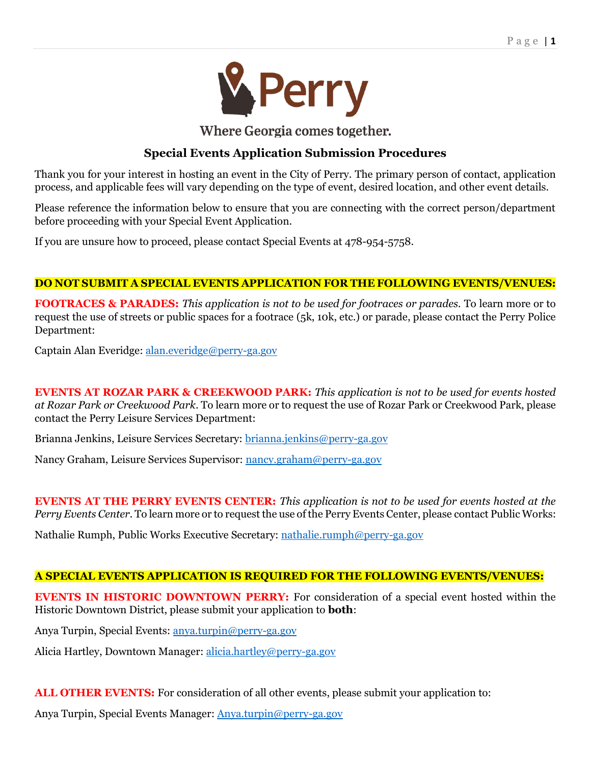

Where Georgia comes together.

# **Special Events Application Submission Procedures**

Thank you for your interest in hosting an event in the City of Perry. The primary person of contact, application process, and applicable fees will vary depending on the type of event, desired location, and other event details.

Please reference the information below to ensure that you are connecting with the correct person/department before proceeding with your Special Event Application.

If you are unsure how to proceed, please contact Special Events at 478-954-5758.

# **DO NOT SUBMIT A SPECIAL EVENTS APPLICATION FOR THE FOLLOWING EVENTS/VENUES:**

**FOOTRACES & PARADES:** *This application is not to be used for footraces or parades.* To learn more or to request the use of streets or public spaces for a footrace (5k, 10k, etc.) or parade, please contact the Perry Police Department:

Captain Alan Everidge: [alan.everidge@perry-ga.gov](mailto:alan.everidge@perry-ga.gov)

**EVENTS AT ROZAR PARK & CREEKWOOD PARK:** *This application is not to be used for events hosted at Rozar Park or Creekwood Park*. To learn more or to request the use of Rozar Park or Creekwood Park, please contact the Perry Leisure Services Department:

Brianna Jenkins, Leisure Services Secretary: [brianna.jenkins@perry-ga.gov](mailto:brianna.jenkins@perry-ga.gov)

Nancy Graham, Leisure Services Supervisor: [nancy.graham@perry-ga.gov](mailto:nancy.graham@perry-ga.gov)

**EVENTS AT THE PERRY EVENTS CENTER:** *This application is not to be used for events hosted at the Perry Events Center.* To learn more or to request the use of the Perry Events Center, please contact Public Works:

Nathalie Rumph, Public Works Executive Secretary: [nathalie.rumph@perry-ga.gov](mailto:nathalie.rumph@perry-ga.gov)

# **A SPECIAL EVENTS APPLICATION IS REQUIRED FOR THE FOLLOWING EVENTS/VENUES:**

**EVENTS IN HISTORIC DOWNTOWN PERRY:** For consideration of a special event hosted within the Historic Downtown District, please submit your application to **both**:

Anya Turpin, Special Events: [anya.turpin@perry-ga.gov](mailto:anya.turpin@perry-ga.gov)

Alicia Hartley, Downtown Manager: [alicia.hartley@perry-ga.gov](mailto:alicia.hartley@perry-ga.gov)

**ALL OTHER EVENTS:** For consideration of all other events, please submit your application to:

Anya Turpin, Special Events Manager: [Anya.turpin@perry-ga.gov](mailto:Anya.turpin@perry-ga.gov)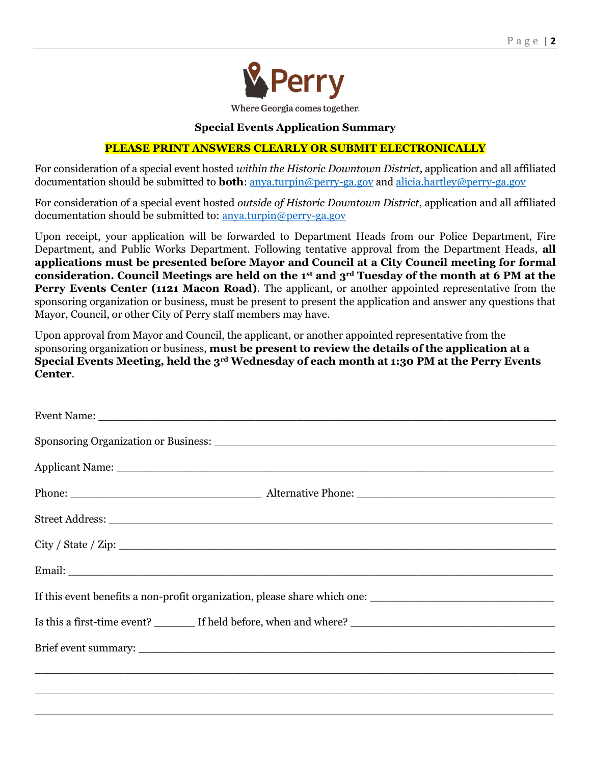

### **Special Events Application Summary**

# **PLEASE PRINT ANSWERS CLEARLY OR SUBMIT ELECTRONICALLY**

For consideration of a special event hosted *within the Historic Downtown District*, application and all affiliated documentation should be submitted to **both**: [anya.turpin@perry-ga.gov](mailto:anya.turpin@perry-ga.gov) and [alicia.hartley@perry-ga.gov](mailto:alicia.hartley@perry-ga.gov)

For consideration of a special event hosted *outside of Historic Downtown District*, application and all affiliated documentation should be submitted to: [anya.turpin@perry-ga.gov](mailto:anya.turpin@perry-ga.gov)

Upon receipt, your application will be forwarded to Department Heads from our Police Department, Fire Department, and Public Works Department. Following tentative approval from the Department Heads, **all applications must be presented before Mayor and Council at a City Council meeting for formal consideration. Council Meetings are held on the 1st and 3rd Tuesday of the month at 6 PM at the Perry Events Center (1121 Macon Road)**. The applicant, or another appointed representative from the sponsoring organization or business, must be present to present the application and answer any questions that Mayor, Council, or other City of Perry staff members may have.

Upon approval from Mayor and Council, the applicant, or another appointed representative from the sponsoring organization or business, **must be present to review the details of the application at a Special Events Meeting, held the 3rd Wednesday of each month at 1:30 PM at the Perry Events Center**.

\_\_\_\_\_\_\_\_\_\_\_\_\_\_\_\_\_\_\_\_\_\_\_\_\_\_\_\_\_\_\_\_\_\_\_\_\_\_\_\_\_\_\_\_\_\_\_\_\_\_\_\_\_\_\_\_\_\_\_\_\_\_\_\_\_\_\_\_\_\_\_\_\_\_\_\_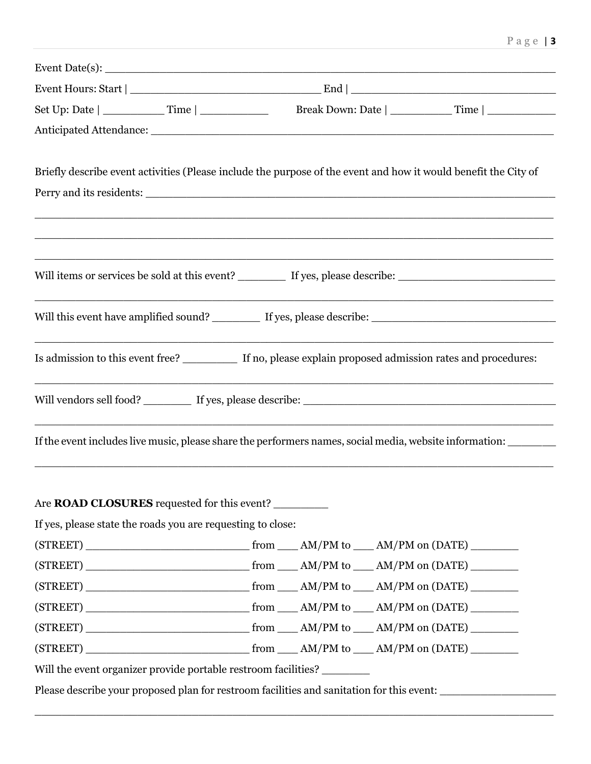| Briefly describe event activities (Please include the purpose of the event and how it would benefit the City of       |  |  |  |  |  |
|-----------------------------------------------------------------------------------------------------------------------|--|--|--|--|--|
|                                                                                                                       |  |  |  |  |  |
|                                                                                                                       |  |  |  |  |  |
|                                                                                                                       |  |  |  |  |  |
| <u> 1989 - Johann John Stein, market fan it ferskearre fan it ferskearre fan it ferskearre fan it ferskearre fan </u> |  |  |  |  |  |
|                                                                                                                       |  |  |  |  |  |
|                                                                                                                       |  |  |  |  |  |
| Is admission to this event free? ___________ If no, please explain proposed admission rates and procedures:           |  |  |  |  |  |
|                                                                                                                       |  |  |  |  |  |
| If the event includes live music, please share the performers names, social media, website information:               |  |  |  |  |  |
|                                                                                                                       |  |  |  |  |  |
| Are ROAD CLOSURES requested for this event?                                                                           |  |  |  |  |  |
| If yes, please state the roads you are requesting to close:                                                           |  |  |  |  |  |
|                                                                                                                       |  |  |  |  |  |
|                                                                                                                       |  |  |  |  |  |
|                                                                                                                       |  |  |  |  |  |
|                                                                                                                       |  |  |  |  |  |
|                                                                                                                       |  |  |  |  |  |
|                                                                                                                       |  |  |  |  |  |
| Will the event organizer provide portable restroom facilities? ________                                               |  |  |  |  |  |
| Please describe your proposed plan for restroom facilities and sanitation for this event: ____________________        |  |  |  |  |  |
|                                                                                                                       |  |  |  |  |  |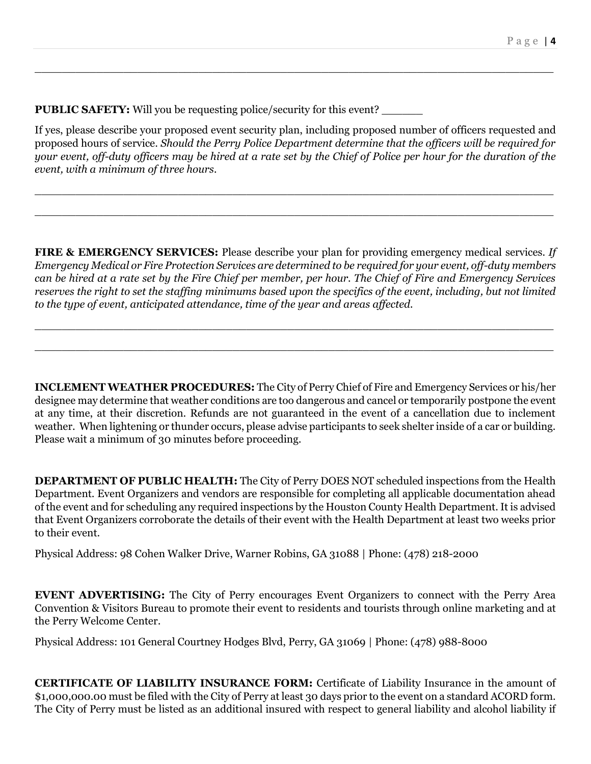**PUBLIC SAFETY:** Will you be requesting police/security for this event?

If yes, please describe your proposed event security plan, including proposed number of officers requested and proposed hours of service. *Should the Perry Police Department determine that the officers will be required for your event, off-duty officers may be hired at a rate set by the Chief of Police per hour for the duration of the event, with a minimum of three hours.*

\_\_\_\_\_\_\_\_\_\_\_\_\_\_\_\_\_\_\_\_\_\_\_\_\_\_\_\_\_\_\_\_\_\_\_\_\_\_\_\_\_\_\_\_\_\_\_\_\_\_\_\_\_\_\_\_\_\_\_\_\_\_\_\_\_\_\_\_\_\_\_\_\_\_\_\_

\_\_\_\_\_\_\_\_\_\_\_\_\_\_\_\_\_\_\_\_\_\_\_\_\_\_\_\_\_\_\_\_\_\_\_\_\_\_\_\_\_\_\_\_\_\_\_\_\_\_\_\_\_\_\_\_\_\_\_\_\_\_\_\_\_\_\_\_\_\_\_\_\_\_\_\_

\_\_\_\_\_\_\_\_\_\_\_\_\_\_\_\_\_\_\_\_\_\_\_\_\_\_\_\_\_\_\_\_\_\_\_\_\_\_\_\_\_\_\_\_\_\_\_\_\_\_\_\_\_\_\_\_\_\_\_\_\_\_\_\_\_\_\_\_\_\_\_\_\_\_\_\_

**FIRE & EMERGENCY SERVICES:** Please describe your plan for providing emergency medical services. *If Emergency Medical or Fire Protection Services are determined to be required for your event, off-duty members can be hired at a rate set by the Fire Chief per member, per hour. The Chief of Fire and Emergency Services reserves the right to set the staffing minimums based upon the specifics of the event, including, but not limited to the type of event, anticipated attendance, time of the year and areas affected.*

\_\_\_\_\_\_\_\_\_\_\_\_\_\_\_\_\_\_\_\_\_\_\_\_\_\_\_\_\_\_\_\_\_\_\_\_\_\_\_\_\_\_\_\_\_\_\_\_\_\_\_\_\_\_\_\_\_\_\_\_\_\_\_\_\_\_\_\_\_\_\_\_\_\_\_\_

\_\_\_\_\_\_\_\_\_\_\_\_\_\_\_\_\_\_\_\_\_\_\_\_\_\_\_\_\_\_\_\_\_\_\_\_\_\_\_\_\_\_\_\_\_\_\_\_\_\_\_\_\_\_\_\_\_\_\_\_\_\_\_\_\_\_\_\_\_\_\_\_\_\_\_\_

**INCLEMENT WEATHER PROCEDURES:** The City of Perry Chief of Fire and Emergency Services or his/her designee may determine that weather conditions are too dangerous and cancel or temporarily postpone the event at any time, at their discretion. Refunds are not guaranteed in the event of a cancellation due to inclement weather. When lightening or thunder occurs, please advise participants to seek shelter inside of a car or building. Please wait a minimum of 30 minutes before proceeding.

**DEPARTMENT OF PUBLIC HEALTH:** The City of Perry DOES NOT scheduled inspections from the Health Department. Event Organizers and vendors are responsible for completing all applicable documentation ahead of the event and for scheduling any required inspections by the Houston County Health Department. It is advised that Event Organizers corroborate the details of their event with the Health Department at least two weeks prior to their event.

Physical Address: 98 Cohen Walker Drive, Warner Robins, GA 31088 | Phone: (478) 218-2000

**EVENT ADVERTISING:** The City of Perry encourages Event Organizers to connect with the Perry Area Convention & Visitors Bureau to promote their event to residents and tourists through online marketing and at the Perry Welcome Center.

Physical Address: 101 General Courtney Hodges Blvd, Perry, GA 31069 | Phone: (478) 988-8000

**CERTIFICATE OF LIABILITY INSURANCE FORM:** Certificate of Liability Insurance in the amount of \$1,000,000.00 must be filed with the City of Perry at least 30 days prior to the event on a standard ACORD form. The City of Perry must be listed as an additional insured with respect to general liability and alcohol liability if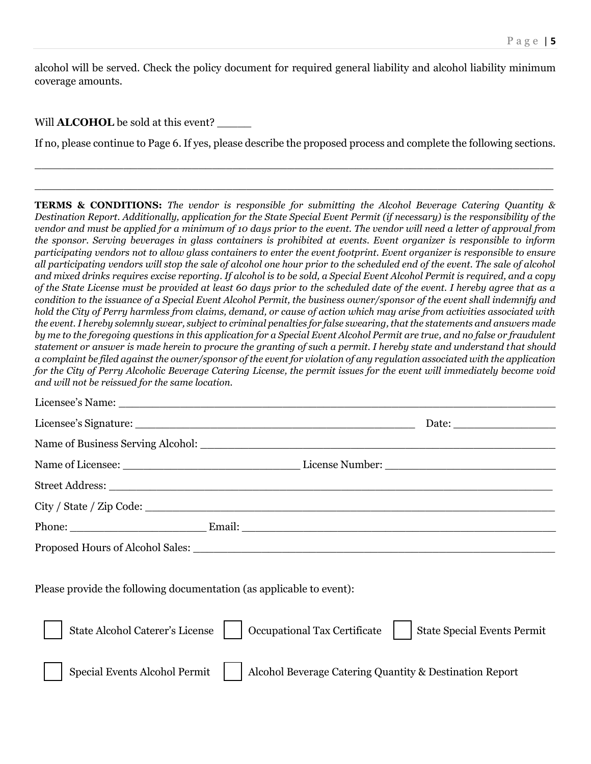alcohol will be served. Check the policy document for required general liability and alcohol liability minimum coverage amounts.

Will **ALCOHOL** be sold at this event? \_\_\_\_\_

If no, please continue to Page 6. If yes, please describe the proposed process and complete the following sections.

\_\_\_\_\_\_\_\_\_\_\_\_\_\_\_\_\_\_\_\_\_\_\_\_\_\_\_\_\_\_\_\_\_\_\_\_\_\_\_\_\_\_\_\_\_\_\_\_\_\_\_\_\_\_\_\_\_\_\_\_\_\_\_\_\_\_\_\_\_\_\_\_\_\_\_\_

\_\_\_\_\_\_\_\_\_\_\_\_\_\_\_\_\_\_\_\_\_\_\_\_\_\_\_\_\_\_\_\_\_\_\_\_\_\_\_\_\_\_\_\_\_\_\_\_\_\_\_\_\_\_\_\_\_\_\_\_\_\_\_\_\_\_\_\_\_\_\_\_\_\_\_\_

**TERMS & CONDITIONS:** *The vendor is responsible for submitting the Alcohol Beverage Catering Quantity & Destination Report. Additionally, application for the State Special Event Permit (if necessary) is the responsibility of the vendor and must be applied for a minimum of 10 days prior to the event. The vendor will need a letter of approval from the sponsor. Serving beverages in glass containers is prohibited at events. Event organizer is responsible to inform participating vendors not to allow glass containers to enter the event footprint. Event organizer is responsible to ensure all participating vendors will stop the sale of alcohol one hour prior to the scheduled end of the event. The sale of alcohol and mixed drinks requires excise reporting. If alcohol is to be sold, a Special Event Alcohol Permit is required, and a copy of the State License must be provided at least 60 days prior to the scheduled date of the event. I hereby agree that as a condition to the issuance of a Special Event Alcohol Permit, the business owner/sponsor of the event shall indemnify and hold the City of Perry harmless from claims, demand, or cause of action which may arise from activities associated with the event. I hereby solemnly swear, subject to criminal penalties for false swearing, that the statements and answers made by me to the foregoing questions in this application for a Special Event Alcohol Permit are true, and no false or fraudulent statement or answer is made herein to procure the granting of such a permit. I hereby state and understand that should a complaint be filed against the owner/sponsor of the event for violation of any regulation associated with the application for the City of Perry Alcoholic Beverage Catering License, the permit issues for the event will immediately become void and will not be reissued for the same location.* 

|                                                                      |                                                                                                                                                                                                                                | Date: $\frac{1}{\sqrt{1-\frac{1}{2}} \cdot \frac{1}{2}}$ |  |  |  |
|----------------------------------------------------------------------|--------------------------------------------------------------------------------------------------------------------------------------------------------------------------------------------------------------------------------|----------------------------------------------------------|--|--|--|
|                                                                      |                                                                                                                                                                                                                                |                                                          |  |  |  |
|                                                                      |                                                                                                                                                                                                                                |                                                          |  |  |  |
|                                                                      |                                                                                                                                                                                                                                |                                                          |  |  |  |
|                                                                      |                                                                                                                                                                                                                                |                                                          |  |  |  |
|                                                                      | Phone: Email: Email: Email: Email: Email: Email: Email: Email: Email: Email: Email: Email: Email: Email: Email: Email: Email: Email: Email: Email: Email: Email: Email: Email: Email: Email: Email: Email: Email: Email: Email |                                                          |  |  |  |
|                                                                      | Proposed Hours of Alcohol Sales: North Sales and Sales and Sales and Sales and Sales and Sales and Sales and Sales and Sales and Sales and Sales and Sales and Sales and Sales and Sales and Sales and Sales and Sales and Sal |                                                          |  |  |  |
| Please provide the following documentation (as applicable to event): |                                                                                                                                                                                                                                |                                                          |  |  |  |
| <b>State Alcohol Caterer's License</b>                               | Occupational Tax Certificate                                                                                                                                                                                                   | <b>State Special Events Permit</b>                       |  |  |  |

Special Events Alcohol Permit | | Alcohol Beverage Catering Quantity & Destination Report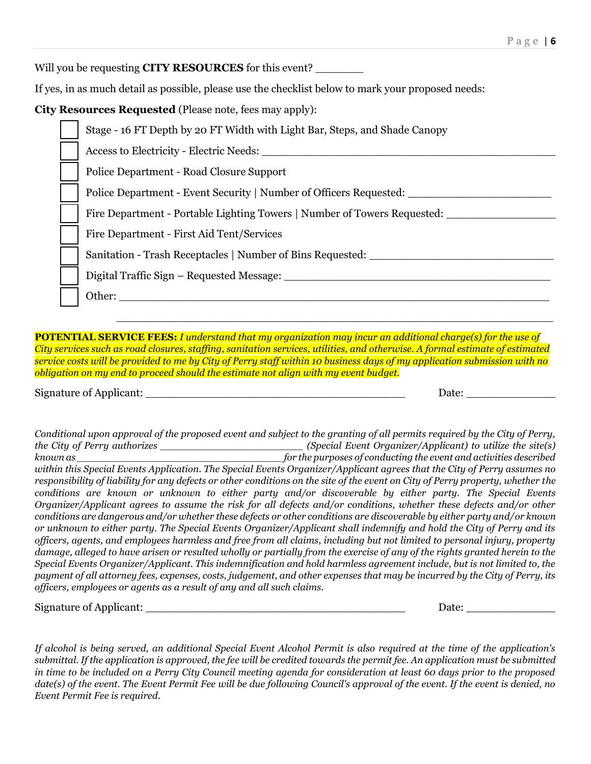Will you be requesting **CITY RESOURCES** for this event?

If yes, in as much detail as possible, please use the checklist below to mark your proposed needs:

**City Resources Requested** (Please note, fees may apply):

| Stage - 16 FT Depth by 20 FT Width with Light Bar, Steps, and Shade Canopy |
|----------------------------------------------------------------------------|
| Access to Electricity - Electric Needs:                                    |
| Police Department - Road Closure Support                                   |
| Police Department - Event Security   Number of Officers Requested:         |
| Fire Department - Portable Lighting Towers   Number of Towers Requested:   |
| Fire Department - First Aid Tent/Services                                  |
| Sanitation - Trash Receptacles   Number of Bins Requested:                 |
| Digital Traffic Sign – Requested Message:                                  |
| Other:                                                                     |

**POTENTIAL SERVICE FEES:** *I understand that my organization may incur an additional charge(s) for the use of City services such as road closures, staffing, sanitation services, utilities, and otherwise. A formal estimate of estimated service costs will be provided to me by City of Perry staff within 10 business days of my application submission with no obligation on my end to proceed should the estimate not align with my event budget.*

\_\_\_\_\_\_\_\_\_\_\_\_\_\_\_\_\_\_\_\_\_\_\_\_\_\_\_\_\_\_\_\_\_\_\_\_\_\_\_\_\_\_\_\_\_\_\_\_\_\_\_\_\_\_\_\_\_\_\_\_\_\_\_\_

Signature of Applicant: \_\_\_\_\_\_\_\_\_\_\_\_\_\_\_\_\_\_\_\_\_\_\_\_\_\_\_\_\_\_\_\_\_\_\_\_\_\_ Date: \_\_\_\_\_\_\_\_\_\_\_\_\_

*Conditional upon approval of the proposed event and subject to the granting of all permits required by the City of Perry, the City of Perry authorizes \_\_\_\_\_\_\_\_\_\_\_\_\_\_\_\_\_\_\_\_\_\_\_ (Special Event Organizer/Applicant) to utilize the site(s) known as \_\_\_\_\_\_\_\_\_\_\_\_\_\_\_\_\_\_\_\_\_\_\_\_\_\_\_\_\_\_\_\_\_ for the purposes of conducting the event and activities described within this Special Events Application. The Special Events Organizer/Applicant agrees that the City of Perry assumes no responsibility of liability for any defects or other conditions on the site of the event on City of Perry property, whether the conditions are known or unknown to either party and/or discoverable by either party. The Special Events Organizer/Applicant agrees to assume the risk for all defects and/or conditions, whether these defects and/or other conditions are dangerous and/or whether these defects or other conditions are discoverable by either party and/or known or unknown to either party. The Special Events Organizer/Applicant shall indemnify and hold the City of Perry and its officers, agents, and employees harmless and free from all claims, including but not limited to personal injury, property damage, alleged to have arisen or resulted wholly or partially from the exercise of any of the rights granted herein to the Special Events Organizer/Applicant. This indemnification and hold harmless agreement include, but is not limited to, the payment of all attorney fees, expenses, costs, judgement, and other expenses that may be incurred by the City of Perry, its officers, employees or agents as a result of any and all such claims.* 

Signature of Applicant: \_\_\_\_\_\_\_\_\_\_\_\_\_\_\_\_\_\_\_\_\_\_\_\_\_\_\_\_\_\_\_\_\_\_\_\_\_\_ Date: \_\_\_\_\_\_\_\_\_\_\_\_\_

*If alcohol is being served, an additional Special Event Alcohol Permit is also required at the time of the application's submittal. If the application is approved, the fee will be credited towards the permit fee. An application must be submitted in time to be included on a Perry City Council meeting agenda for consideration at least 60 days prior to the proposed date(s) of the event. The Event Permit Fee will be due following Council's approval of the event. If the event is denied, no Event Permit Fee is required.*